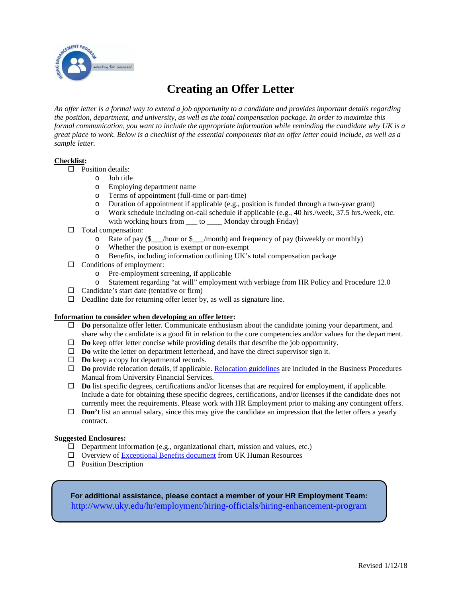

# **Creating an Offer Letter**

*An offer letter is a formal way to extend a job opportunity to a candidate and provides important details regarding the position, department, and university, as well as the total compensation package. In order to maximize this formal communication, you want to include the appropriate information while reminding the candidate why UK is a great place to work. Below is a checklist of the essential components that an offer letter could include, as well as a sample letter.*

### **Checklist:**

 $\Box$  Position details:

- o Job title
- Employing department name
- o Terms of appointment (full-time or part-time)
- o Duration of appointment if applicable (e.g., position is funded through a two-year grant)
- o Work schedule including on-call schedule if applicable (e.g., 40 hrs./week, 37.5 hrs./week, etc. with working hours from \_\_\_ to \_\_\_\_ Monday through Friday)
- $\Box$  Total compensation:
	- o Rate of pay (\$\_\_\_/hour or \$\_\_\_/month) and frequency of pay (biweekly or monthly)
	- o Whether the position is exempt or non-exempt
	- o Benefits, including information outlining UK's total compensation package
- $\Box$  Conditions of employment:
	- o Pre-employment screening, if applicable
	- Statement regarding "at will" employment with verbiage from HR Policy and Procedure 12.0
- $\Box$  Candidate's start date (tentative or firm)
- $\Box$  Deadline date for returning offer letter by, as well as signature line.

### **Information to consider when developing an offer letter:**

- **Do** personalize offer letter. Communicate enthusiasm about the candidate joining your department, and share why the candidate is a good fit in relation to the core competencies and/or values for the department.
- **Do** keep offer letter concise while providing details that describe the job opportunity.
- □ **Do** write the letter on department letterhead, and have the direct supervisor sign it.
- **Do** keep a copy for departmental records.
- $\Box$  **Do** provide relocation details, if applicable. <u>Relocation guidelines</u> are included in the Business Procedures Manual from University Financial Services.
- **Do** list specific degrees, certifications and/or licenses that are required for employment, if applicable. Include a date for obtaining these specific degrees, certifications, and/or licenses if the candidate does not currently meet the requirements. Please work with HR Employment prior to making any contingent offers.
- $\Box$  **Don't** list an annual salary, since this may give the candidate an impression that the letter offers a yearly contract.

### **Suggested Enclosures:**

- $\Box$  Department information (e.g., organizational chart, mission and values, etc.)
- Overview of [Exceptional Benefits document](https://www.uky.edu/hr/sites/www.uky.edu.hr/files/employ/documents/exceptional%20benefits%2018-19.pdf) from UK Human Resources
- $\square$  Position Description

**For additional assistance, please contact a member of your HR Employment Team:** <http://www.uky.edu/hr/employment/hiring-officials/hiring-enhancement-program>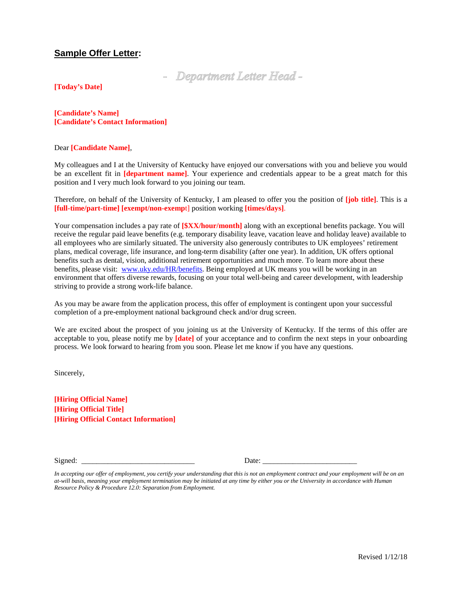## **Sample Offer Letter:**

- Department Letter Head -

**[Today's Date]**

**[Candidate's Name] [Candidate's Contact Information]**

### Dear **[Candidate Name]**,

My colleagues and I at the University of Kentucky have enjoyed our conversations with you and believe you would be an excellent fit in **[department name]**. Your experience and credentials appear to be a great match for this position and I very much look forward to you joining our team.

Therefore, on behalf of the University of Kentucky, I am pleased to offer you the position of **[job title]**. This is a **[full-time/part-time] [exempt/non-exemp**t] position working **[times/days]**.

Your compensation includes a pay rate of **[\$XX/hour/month]** along with an exceptional benefits package. You will receive the regular paid leave benefits (e.g. temporary disability leave, vacation leave and holiday leave) available to all employees who are similarly situated. The university also generously contributes to UK employees' retirement plans, medical coverage, life insurance, and long-term disability (after one year). In addition, UK offers optional benefits such as dental, vision, additional retirement opportunities and much more. To learn more about these benefits, please visit: [www.uky.edu/HR/benefits.](http://www.uky.edu/HR/benefits) Being employed at UK means you will be working in an environment that offers diverse rewards, focusing on your total well-being and career development, with leadership striving to provide a strong work-life balance.

As you may be aware from the application process, this offer of employment is contingent upon your successful completion of a pre-employment national background check and/or drug screen.

We are excited about the prospect of you joining us at the University of Kentucky. If the terms of this offer are acceptable to you, please notify me by **[date]** of your acceptance and to confirm the next steps in your onboarding process. We look forward to hearing from you soon. Please let me know if you have any questions.

Sincerely,

**[Hiring Official Name] [Hiring Official Title] [Hiring Official Contact Information]** 

Signed: \_\_\_\_\_\_\_\_\_\_\_\_\_\_\_\_\_\_\_\_\_\_\_\_\_\_\_\_\_\_ Date: \_\_\_\_\_\_\_\_\_\_\_\_\_\_\_\_\_\_\_\_\_\_\_\_\_

In accepting our offer of employment, you certify your understanding that this is not an employment contract and your employment will be on an *at-will basis, meaning your employment termination may be initiated at any time by either you or the University in accordance with Human Resource Policy & Procedure 12.0: Separation from Employment.*